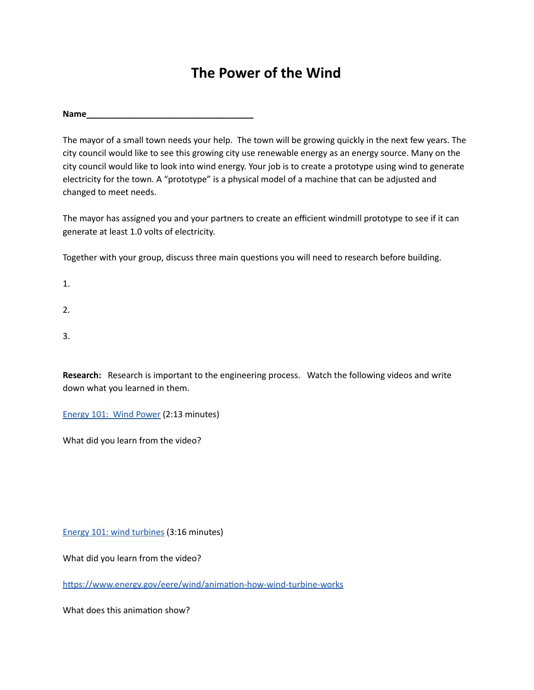## **The Power of the Wind**

**Name\_\_\_\_\_\_\_\_\_\_\_\_\_\_\_\_\_\_\_\_\_\_\_\_\_\_\_\_\_\_\_\_\_\_\_**

The mayor of a small town needs your help. The town will be growing quickly in the next few years. The city council would like to see this growing city use renewable energy as an energy source. Many on the city council would like to look into wind energy. Your job is to create a prototype using wind to generate electricity for the town. A "prototype" is a physical model of a machine that can be adjusted and changed to meet needs.

The mayor has assigned you and your partners to create an efficient windmill prototype to see if it can generate at least 1.0 volts of electricity.

Together with your group, discuss three main questions you will need to research before building.

1.

2.

3.

**Research:** Research is important to the engineering process. Watch the following videos and write down what you learned in them.

[Energy](https://youtu.be/niZ_cvu9Fts) 101: Wind Power (2:13 minutes)

What did you learn from the video?

Energy 101: wind [turbines](https://youtu.be/EYYHfMCw-FI) (3:16 minutes)

What did you learn from the video?

https://www.energy.gov/eere/wind/animation-how-wind-turbine-works

What does this animation show?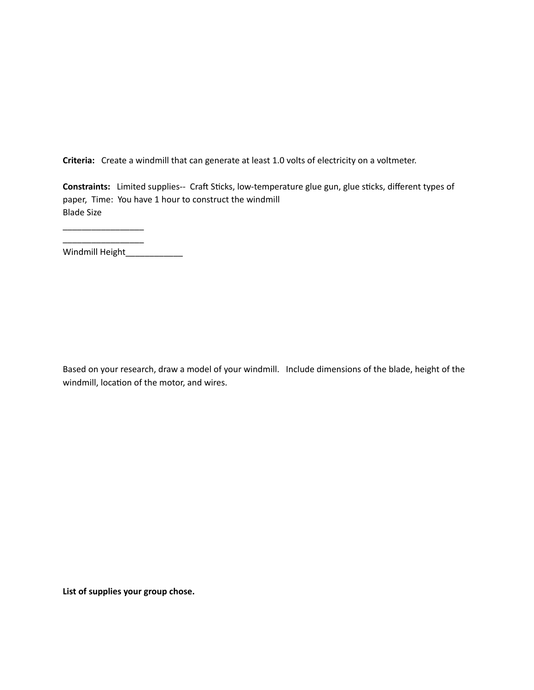**Criteria:** Create a windmill that can generate at least 1.0 volts of electricity on a voltmeter.

Constraints: Limited supplies-- Craft Sticks, low-temperature glue gun, glue sticks, different types of paper, Time: You have 1 hour to construct the windmill Blade Size

\_\_\_\_\_\_\_\_\_\_\_\_\_\_\_\_\_ Windmill Height\_\_\_\_\_\_\_\_\_\_\_\_\_\_\_

\_\_\_\_\_\_\_\_\_\_\_\_\_\_\_\_\_

Based on your research, draw a model of your windmill. Include dimensions of the blade, height of the windmill, location of the motor, and wires.

**List of supplies your group chose.**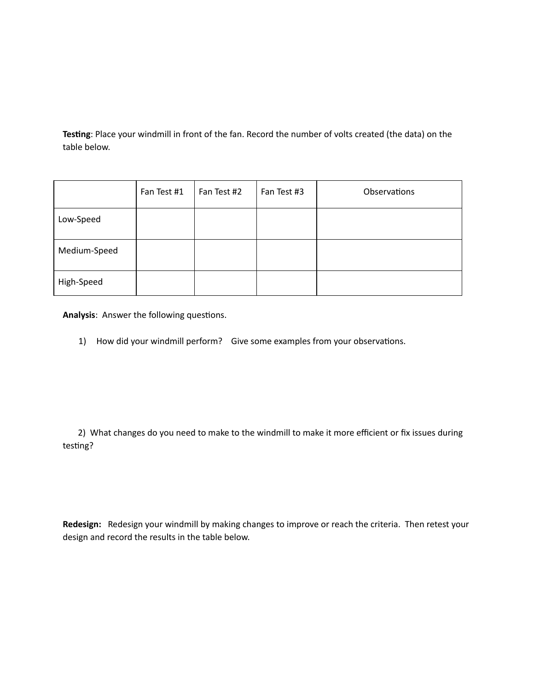Testing: Place your windmill in front of the fan. Record the number of volts created (the data) on the table below.

|              | Fan Test #1 | Fan Test #2 | Fan Test #3 | Observations |
|--------------|-------------|-------------|-------------|--------------|
| Low-Speed    |             |             |             |              |
| Medium-Speed |             |             |             |              |
| High-Speed   |             |             |             |              |

Analysis: Answer the following questions.

1) How did your windmill perform? Give some examples from your observations.

2) What changes do you need to make to the windmill to make it more efficient or fix issues during testing?

**Redesign:** Redesign your windmill by making changes to improve or reach the criteria. Then retest your design and record the results in the table below.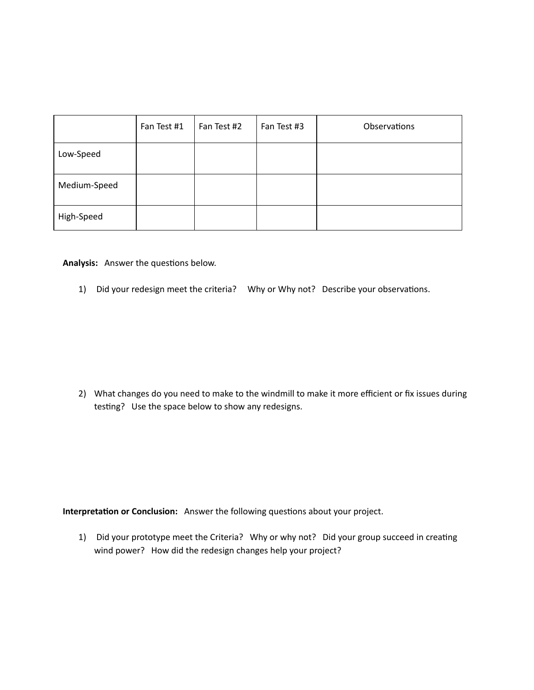|              | Fan Test #1 | Fan Test #2 | Fan Test #3 | Observations |
|--------------|-------------|-------------|-------------|--------------|
| Low-Speed    |             |             |             |              |
| Medium-Speed |             |             |             |              |
| High-Speed   |             |             |             |              |

Analysis: Answer the questions below.

1) Did your redesign meet the criteria? Why or Why not? Describe your observations.

2) What changes do you need to make to the windmill to make it more efficient or fix issues during testing? Use the space below to show any redesigns.

**Interpretation or Conclusion:** Answer the following questions about your project.

1) Did your prototype meet the Criteria? Why or why not? Did your group succeed in creating wind power? How did the redesign changes help your project?